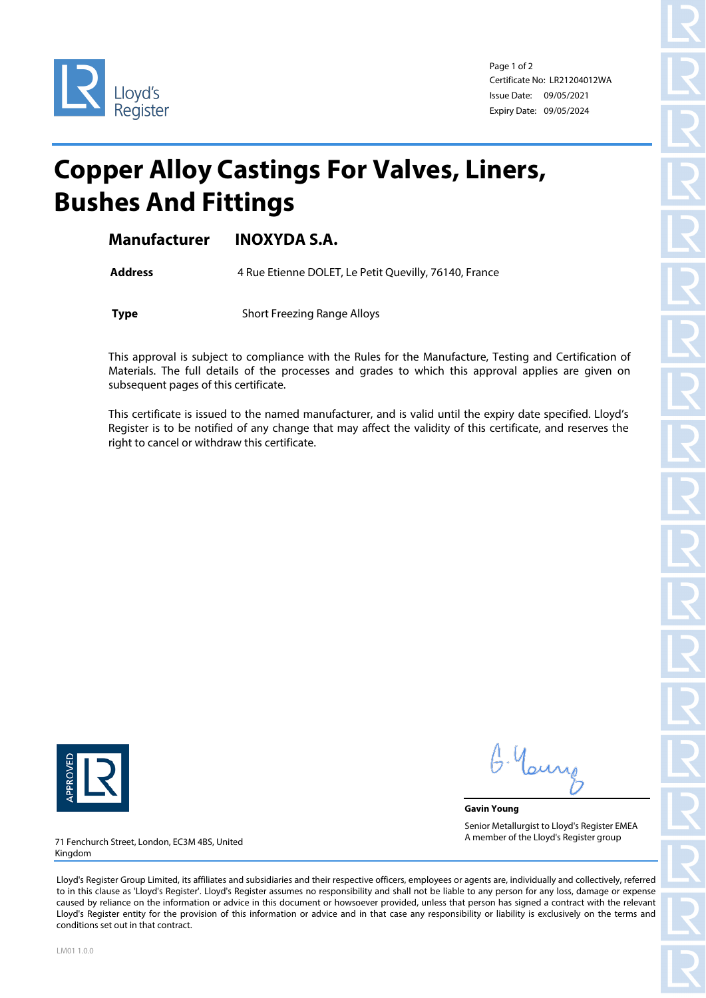

Page 1 of 2 Certificate No: LR21204012WA Issue Date: 09/05/2021 Expiry Date: 09/05/2024

## **Copper Alloy Castings For Valves, Liners, Bushes And Fittings**

**Manufacturer INOXYDA S.A.**

Address 4 Rue Etienne DOLET, Le Petit Quevilly, 76140, France

**Type** Short Freezing Range Alloys

This approval is subject to compliance with the Rules for the Manufacture, Testing and Certification of Materials. The full details of the processes and grades to which this approval applies are given on subsequent pages of this certificate.

This certificate is issued to the named manufacturer, and is valid until the expiry date specified. Lloyd's Register is to be notified of any change that may affect the validity of this certificate, and reserves the right to cancel or withdraw this certificate.



G. Yan

**Gavin Young** Senior Metallurgist to Lloyd's Register EMEA A member of the Lloyd's Register group

71 Fenchurch Street, London, EC3M 4BS, United Kingdom

Lloyd's Register Group Limited, its affiliates and subsidiaries and their respective officers, employees or agents are, individually and collectively, referred to in this clause as 'Lloyd's Register'. Lloyd's Register assumes no responsibility and shall not be liable to any person for any loss, damage or expense caused by reliance on the information or advice in this document or howsoever provided, unless that person has signed a contract with the relevant Lloyd's Register entity for the provision of this information or advice and in that case any responsibility or liability is exclusively on the terms and conditions set out in that contract.